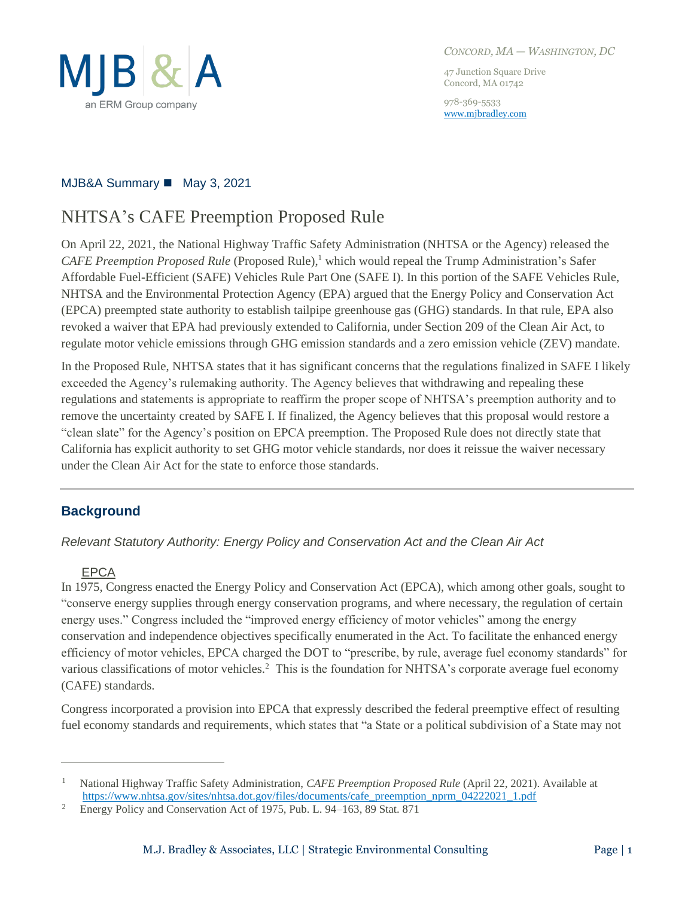

47 Junction Square Drive Concord, MA 01742

978-369-5533 [www.mjbradley.com](http://www.mjbradley.com/)

# MJB&A Summary ◼ May 3, 2021

# NHTSA's CAFE Preemption Proposed Rule

On April 22, 2021, the National Highway Traffic Safety Administration (NHTSA or the Agency) released the *CAFE Preemption Proposed Rule* (Proposed Rule), <sup>1</sup> which would repeal the Trump Administration's Safer Affordable Fuel-Efficient (SAFE) Vehicles Rule Part One (SAFE I). In this portion of the SAFE Vehicles Rule, NHTSA and the Environmental Protection Agency (EPA) argued that the Energy Policy and Conservation Act (EPCA) preempted state authority to establish tailpipe greenhouse gas (GHG) standards. In that rule, EPA also revoked a waiver that EPA had previously extended to California, under Section 209 of the Clean Air Act, to regulate motor vehicle emissions through GHG emission standards and a zero emission vehicle (ZEV) mandate.

In the Proposed Rule, NHTSA states that it has significant concerns that the regulations finalized in SAFE I likely exceeded the Agency's rulemaking authority. The Agency believes that withdrawing and repealing these regulations and statements is appropriate to reaffirm the proper scope of NHTSA's preemption authority and to remove the uncertainty created by SAFE I. If finalized, the Agency believes that this proposal would restore a "clean slate" for the Agency's position on EPCA preemption. The Proposed Rule does not directly state that California has explicit authority to set GHG motor vehicle standards, nor does it reissue the waiver necessary under the Clean Air Act for the state to enforce those standards.

# **Background**

*Relevant Statutory Authority: Energy Policy and Conservation Act and the Clean Air Act*

#### EPCA

In 1975, Congress enacted the Energy Policy and Conservation Act (EPCA), which among other goals, sought to "conserve energy supplies through energy conservation programs, and where necessary, the regulation of certain energy uses." Congress included the "improved energy efficiency of motor vehicles" among the energy conservation and independence objectives specifically enumerated in the Act. To facilitate the enhanced energy efficiency of motor vehicles, EPCA charged the DOT to "prescribe, by rule, average fuel economy standards" for various classifications of motor vehicles.<sup>2</sup> This is the foundation for NHTSA's corporate average fuel economy (CAFE) standards.

Congress incorporated a provision into EPCA that expressly described the federal preemptive effect of resulting fuel economy standards and requirements, which states that "a State or a political subdivision of a State may not

<sup>1</sup> National Highway Traffic Safety Administration, *CAFE Preemption Proposed Rule* (April 22, 2021). Available at [https://www.nhtsa.gov/sites/nhtsa.dot.gov/files/documents/cafe\\_preemption\\_nprm\\_04222021\\_1.pdf](https://www.nhtsa.gov/sites/nhtsa.dot.gov/files/documents/cafe_preemption_nprm_04222021_1.pdf)

<sup>2</sup> Energy Policy and Conservation Act of 1975, Pub. L. 94–163, 89 Stat. 871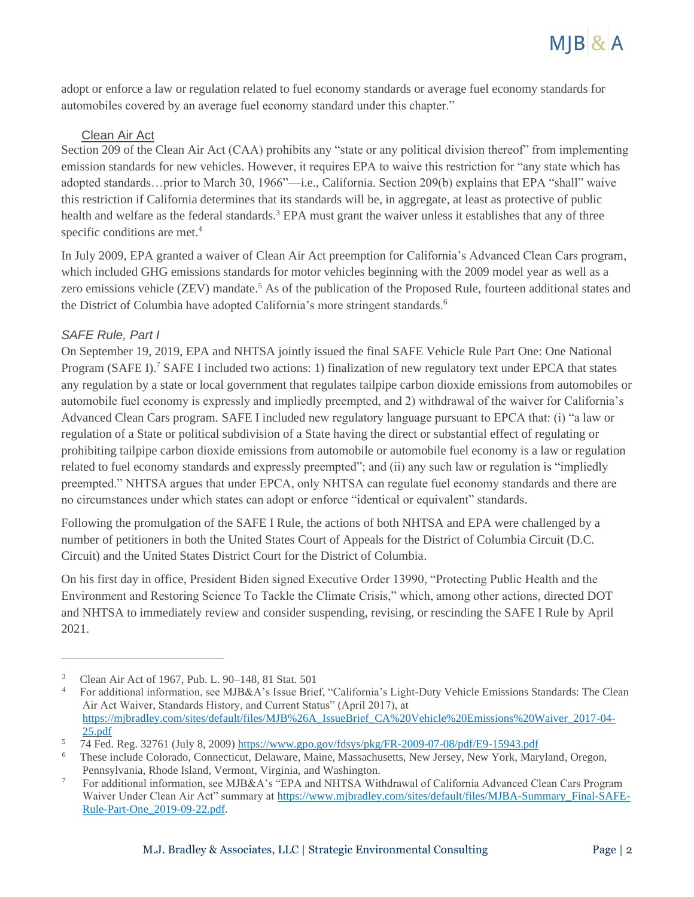

adopt or enforce a law or regulation related to fuel economy standards or average fuel economy standards for automobiles covered by an average fuel economy standard under this chapter."

#### Clean Air Act

Section 209 of the Clean Air Act (CAA) prohibits any "state or any political division thereof" from implementing emission standards for new vehicles. However, it requires EPA to waive this restriction for "any state which has adopted standards…prior to March 30, 1966"—i.e., California. Section 209(b) explains that EPA "shall" waive this restriction if California determines that its standards will be, in aggregate, at least as protective of public health and welfare as the federal standards.<sup>3</sup> EPA must grant the waiver unless it establishes that any of three specific conditions are met.<sup>4</sup>

In July 2009, EPA granted a waiver of Clean Air Act preemption for California's Advanced Clean Cars program, which included GHG emissions standards for motor vehicles beginning with the 2009 model year as well as a zero emissions vehicle (ZEV) mandate.<sup>5</sup> As of the publication of the Proposed Rule, fourteen additional states and the District of Columbia have adopted California's more stringent standards.<sup>6</sup>

#### *SAFE Rule, Part I*

On September 19, 2019, EPA and NHTSA jointly issued the final SAFE Vehicle Rule Part One: One National Program (SAFE I).<sup>7</sup> SAFE I included two actions: 1) finalization of new regulatory text under EPCA that states any regulation by a state or local government that regulates tailpipe carbon dioxide emissions from automobiles or automobile fuel economy is expressly and impliedly preempted, and 2) withdrawal of the waiver for California's Advanced Clean Cars program. SAFE I included new regulatory language pursuant to EPCA that: (i) "a law or regulation of a State or political subdivision of a State having the direct or substantial effect of regulating or prohibiting tailpipe carbon dioxide emissions from automobile or automobile fuel economy is a law or regulation related to fuel economy standards and expressly preempted"; and (ii) any such law or regulation is "impliedly preempted." NHTSA argues that under EPCA, only NHTSA can regulate fuel economy standards and there are no circumstances under which states can adopt or enforce "identical or equivalent" standards.

Following the promulgation of the SAFE I Rule, the actions of both NHTSA and EPA were challenged by a number of petitioners in both the United States Court of Appeals for the District of Columbia Circuit (D.C. Circuit) and the United States District Court for the District of Columbia.

On his first day in office, President Biden signed Executive Order 13990, "Protecting Public Health and the Environment and Restoring Science To Tackle the Climate Crisis," which, among other actions, directed DOT and NHTSA to immediately review and consider suspending, revising, or rescinding the SAFE I Rule by April 2021.

<sup>3</sup> Clean Air Act of 1967, Pub. L. 90–148, 81 Stat. 501

<sup>4</sup> For additional information, see MJB&A's Issue Brief, "California's Light-Duty Vehicle Emissions Standards: The Clean Air Act Waiver, Standards History, and Current Status" (April 2017), at [https://mjbradley.com/sites/default/files/MJB%26A\\_IssueBrief\\_CA%20Vehicle%20Emissions%20Waiver\\_2017-04-](https://mjbradley.com/sites/default/files/MJB%26A_IssueBrief_CA%20Vehicle%20Emissions%20Waiver_2017-04-25.pdf) [25.pdf](https://mjbradley.com/sites/default/files/MJB%26A_IssueBrief_CA%20Vehicle%20Emissions%20Waiver_2017-04-25.pdf)

<sup>5</sup> 74 Fed. Reg. 32761 (July 8, 2009)<https://www.gpo.gov/fdsys/pkg/FR-2009-07-08/pdf/E9-15943.pdf>

<sup>6</sup> These include Colorado, Connecticut, Delaware, Maine, Massachusetts, New Jersey, New York, Maryland, Oregon, Pennsylvania, Rhode Island, Vermont, Virginia, and Washington.

<sup>7</sup> For additional information, see MJB&A's "EPA and NHTSA Withdrawal of California Advanced Clean Cars Program Waiver Under Clean Air Act" summary a[t https://www.mjbradley.com/sites/default/files/MJBA-Summary\\_Final-SAFE-](https://www.mjbradley.com/sites/default/files/MJBA-Summary_Final-SAFE-Rule-Part-One_2019-09-22.pdf)[Rule-Part-One\\_2019-09-22.pdf.](https://www.mjbradley.com/sites/default/files/MJBA-Summary_Final-SAFE-Rule-Part-One_2019-09-22.pdf)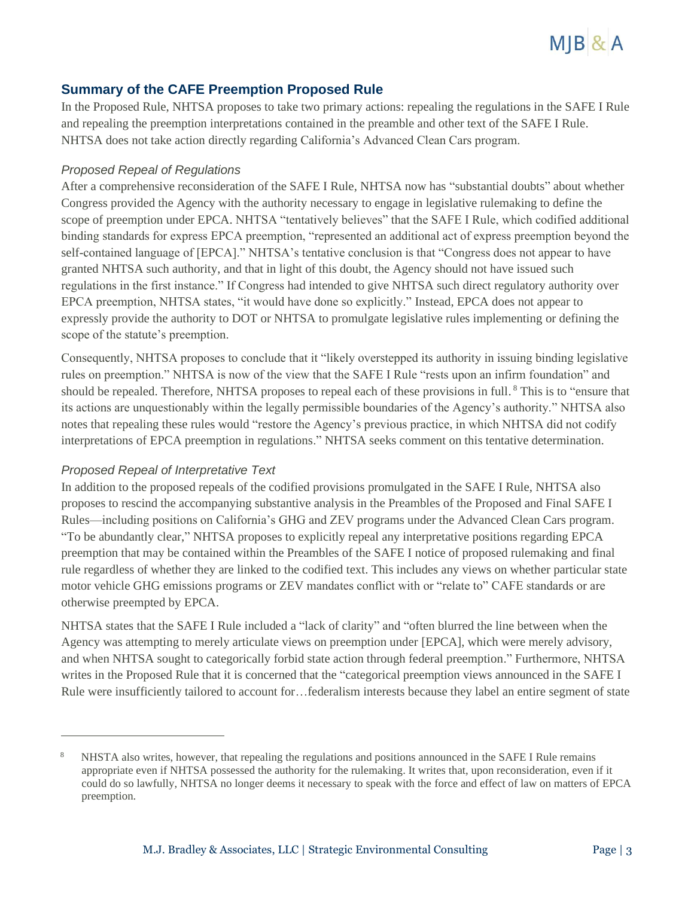

## **Summary of the CAFE Preemption Proposed Rule**

In the Proposed Rule, NHTSA proposes to take two primary actions: repealing the regulations in the SAFE I Rule and repealing the preemption interpretations contained in the preamble and other text of the SAFE I Rule. NHTSA does not take action directly regarding California's Advanced Clean Cars program.

#### *Proposed Repeal of Regulations*

After a comprehensive reconsideration of the SAFE I Rule, NHTSA now has "substantial doubts" about whether Congress provided the Agency with the authority necessary to engage in legislative rulemaking to define the scope of preemption under EPCA. NHTSA "tentatively believes" that the SAFE I Rule, which codified additional binding standards for express EPCA preemption, "represented an additional act of express preemption beyond the self-contained language of [EPCA]." NHTSA's tentative conclusion is that "Congress does not appear to have granted NHTSA such authority, and that in light of this doubt, the Agency should not have issued such regulations in the first instance." If Congress had intended to give NHTSA such direct regulatory authority over EPCA preemption, NHTSA states, "it would have done so explicitly." Instead, EPCA does not appear to expressly provide the authority to DOT or NHTSA to promulgate legislative rules implementing or defining the scope of the statute's preemption.

Consequently, NHTSA proposes to conclude that it "likely overstepped its authority in issuing binding legislative rules on preemption." NHTSA is now of the view that the SAFE I Rule "rests upon an infirm foundation" and should be repealed. Therefore, NHTSA proposes to repeal each of these provisions in full.<sup>8</sup> This is to "ensure that its actions are unquestionably within the legally permissible boundaries of the Agency's authority." NHTSA also notes that repealing these rules would "restore the Agency's previous practice, in which NHTSA did not codify interpretations of EPCA preemption in regulations." NHTSA seeks comment on this tentative determination.

#### *Proposed Repeal of Interpretative Text*

In addition to the proposed repeals of the codified provisions promulgated in the SAFE I Rule, NHTSA also proposes to rescind the accompanying substantive analysis in the Preambles of the Proposed and Final SAFE I Rules—including positions on California's GHG and ZEV programs under the Advanced Clean Cars program. "To be abundantly clear," NHTSA proposes to explicitly repeal any interpretative positions regarding EPCA preemption that may be contained within the Preambles of the SAFE I notice of proposed rulemaking and final rule regardless of whether they are linked to the codified text. This includes any views on whether particular state motor vehicle GHG emissions programs or ZEV mandates conflict with or "relate to" CAFE standards or are otherwise preempted by EPCA.

NHTSA states that the SAFE I Rule included a "lack of clarity" and "often blurred the line between when the Agency was attempting to merely articulate views on preemption under [EPCA], which were merely advisory, and when NHTSA sought to categorically forbid state action through federal preemption." Furthermore, NHTSA writes in the Proposed Rule that it is concerned that the "categorical preemption views announced in the SAFE I Rule were insufficiently tailored to account for…federalism interests because they label an entire segment of state

<sup>8</sup> NHSTA also writes, however, that repealing the regulations and positions announced in the SAFE I Rule remains appropriate even if NHTSA possessed the authority for the rulemaking. It writes that, upon reconsideration, even if it could do so lawfully, NHTSA no longer deems it necessary to speak with the force and effect of law on matters of EPCA preemption.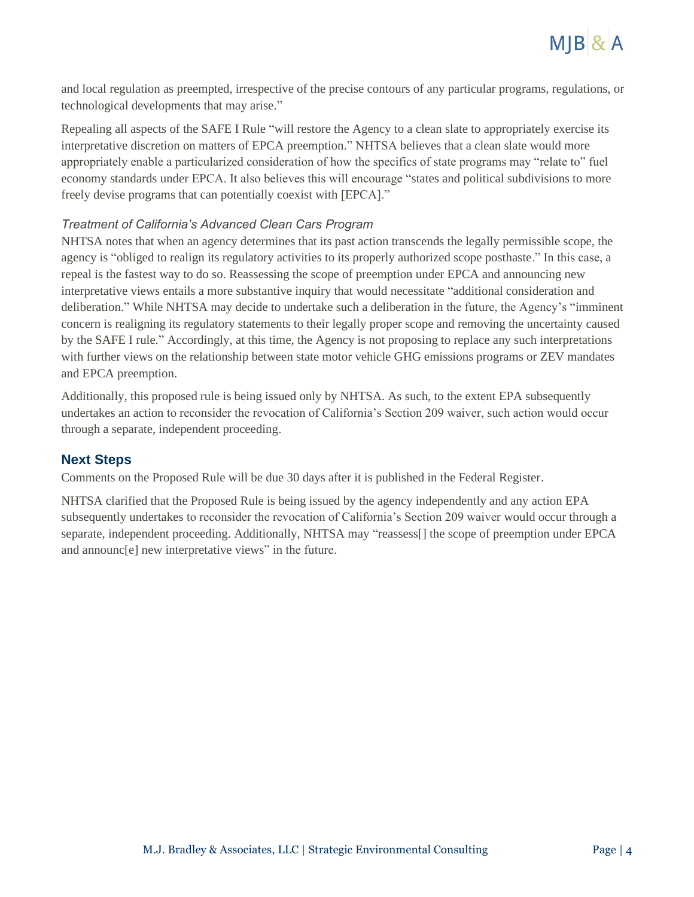

and local regulation as preempted, irrespective of the precise contours of any particular programs, regulations, or technological developments that may arise."

Repealing all aspects of the SAFE I Rule "will restore the Agency to a clean slate to appropriately exercise its interpretative discretion on matters of EPCA preemption." NHTSA believes that a clean slate would more appropriately enable a particularized consideration of how the specifics of state programs may "relate to" fuel economy standards under EPCA. It also believes this will encourage "states and political subdivisions to more freely devise programs that can potentially coexist with [EPCA]."

#### *Treatment of California's Advanced Clean Cars Program*

NHTSA notes that when an agency determines that its past action transcends the legally permissible scope, the agency is "obliged to realign its regulatory activities to its properly authorized scope posthaste." In this case, a repeal is the fastest way to do so. Reassessing the scope of preemption under EPCA and announcing new interpretative views entails a more substantive inquiry that would necessitate "additional consideration and deliberation." While NHTSA may decide to undertake such a deliberation in the future, the Agency's "imminent concern is realigning its regulatory statements to their legally proper scope and removing the uncertainty caused by the SAFE I rule." Accordingly, at this time, the Agency is not proposing to replace any such interpretations with further views on the relationship between state motor vehicle GHG emissions programs or ZEV mandates and EPCA preemption.

Additionally, this proposed rule is being issued only by NHTSA. As such, to the extent EPA subsequently undertakes an action to reconsider the revocation of California's Section 209 waiver, such action would occur through a separate, independent proceeding.

#### **Next Steps**

Comments on the Proposed Rule will be due 30 days after it is published in the Federal Register.

NHTSA clarified that the Proposed Rule is being issued by the agency independently and any action EPA subsequently undertakes to reconsider the revocation of California's Section 209 waiver would occur through a separate, independent proceeding. Additionally, NHTSA may "reassess[] the scope of preemption under EPCA and announc[e] new interpretative views" in the future.